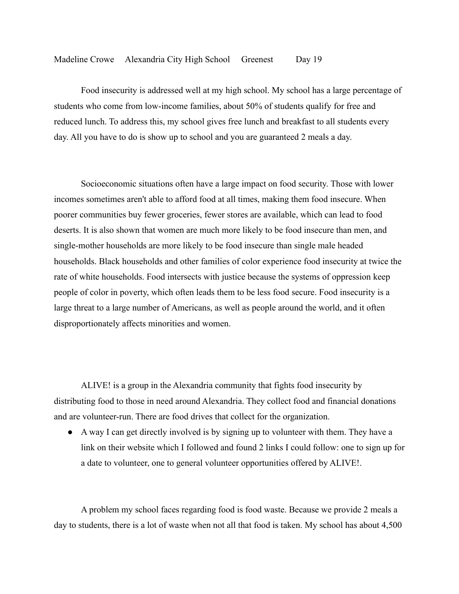Food insecurity is addressed well at my high school. My school has a large percentage of students who come from low-income families, about 50% of students qualify for free and reduced lunch. To address this, my school gives free lunch and breakfast to all students every day. All you have to do is show up to school and you are guaranteed 2 meals a day.

Socioeconomic situations often have a large impact on food security. Those with lower incomes sometimes aren't able to afford food at all times, making them food insecure. When poorer communities buy fewer groceries, fewer stores are available, which can lead to food deserts. It is also shown that women are much more likely to be food insecure than men, and single-mother households are more likely to be food insecure than single male headed households. Black households and other families of color experience food insecurity at twice the rate of white households. Food intersects with justice because the systems of oppression keep people of color in poverty, which often leads them to be less food secure. Food insecurity is a large threat to a large number of Americans, as well as people around the world, and it often disproportionately affects minorities and women.

ALIVE! is a group in the Alexandria community that fights food insecurity by distributing food to those in need around Alexandria. They collect food and financial donations and are volunteer-run. There are food drives that collect for the organization.

● A way I can get directly involved is by signing up to volunteer with them. They have a link on their website which I followed and found 2 links I could follow: one to sign up for a date to volunteer, one to general volunteer opportunities offered by ALIVE!.

A problem my school faces regarding food is food waste. Because we provide 2 meals a day to students, there is a lot of waste when not all that food is taken. My school has about 4,500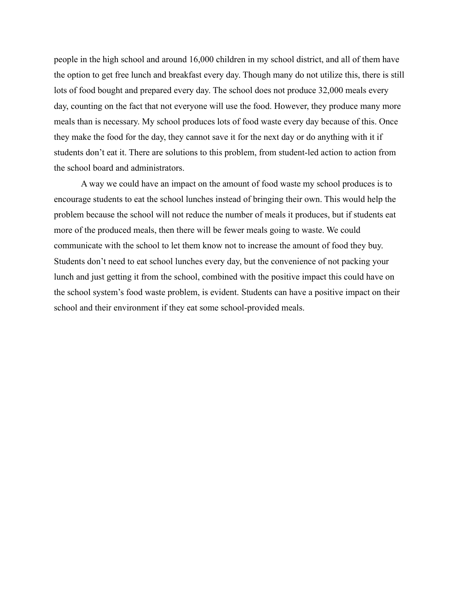people in the high school and around 16,000 children in my school district, and all of them have the option to get free lunch and breakfast every day. Though many do not utilize this, there is still lots of food bought and prepared every day. The school does not produce 32,000 meals every day, counting on the fact that not everyone will use the food. However, they produce many more meals than is necessary. My school produces lots of food waste every day because of this. Once they make the food for the day, they cannot save it for the next day or do anything with it if students don't eat it. There are solutions to this problem, from student-led action to action from the school board and administrators.

A way we could have an impact on the amount of food waste my school produces is to encourage students to eat the school lunches instead of bringing their own. This would help the problem because the school will not reduce the number of meals it produces, but if students eat more of the produced meals, then there will be fewer meals going to waste. We could communicate with the school to let them know not to increase the amount of food they buy. Students don't need to eat school lunches every day, but the convenience of not packing your lunch and just getting it from the school, combined with the positive impact this could have on the school system's food waste problem, is evident. Students can have a positive impact on their school and their environment if they eat some school-provided meals.